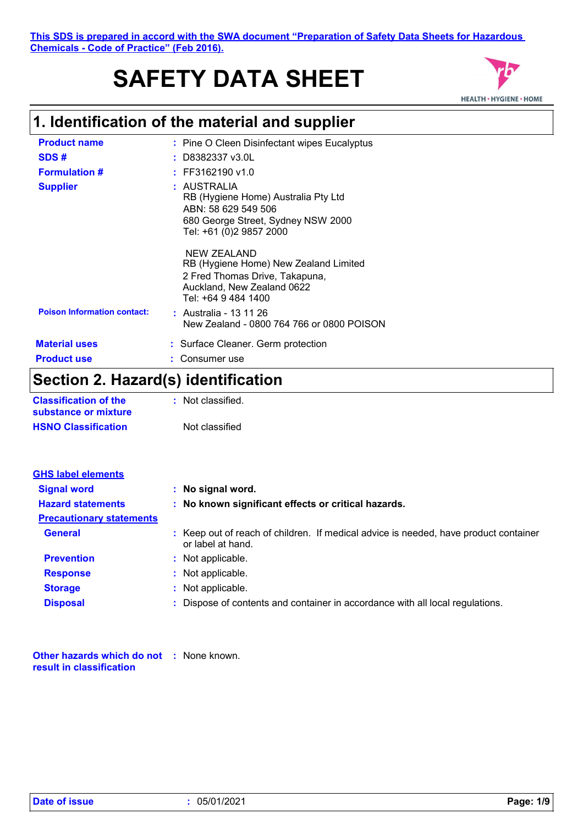# **SAFETY DATA SHEET**



# **1. Identification of the material and supplier**

| <b>Product name</b>                | : Pine O Cleen Disinfectant wipes Eucalyptus                                                                                                |
|------------------------------------|---------------------------------------------------------------------------------------------------------------------------------------------|
| SDS#                               | $:$ D8382337 v3.0L                                                                                                                          |
| <b>Formulation #</b>               | $:$ FF3162190 v1.0                                                                                                                          |
| <b>Supplier</b>                    | : AUSTRALIA<br>RB (Hygiene Home) Australia Pty Ltd<br>ABN: 58 629 549 506<br>680 George Street, Sydney NSW 2000<br>Tel: +61 (0)2 9857 2000  |
|                                    | NEW ZEALAND<br>RB (Hygiene Home) New Zealand Limited<br>2 Fred Thomas Drive, Takapuna,<br>Auckland, New Zealand 0622<br>Tel: +64 9 484 1400 |
| <b>Poison Information contact:</b> | : Australia - 13 11 26<br>New Zealand - 0800 764 766 or 0800 POISON                                                                         |
| <b>Material uses</b>               | : Surface Cleaner. Germ protection                                                                                                          |
| <b>Product use</b>                 | Consumer use                                                                                                                                |
| .                                  | .                                                                                                                                           |

### **Section 2. Hazard(s) identification**

| <b>Classification of the</b> | : Not classified. |
|------------------------------|-------------------|
| substance or mixture         |                   |
| <b>HSNO Classification</b>   | Not classified    |

| <b>GHS label elements</b>       |                                                                                                           |
|---------------------------------|-----------------------------------------------------------------------------------------------------------|
| <b>Signal word</b>              | : No signal word.                                                                                         |
| <b>Hazard statements</b>        | : No known significant effects or critical hazards.                                                       |
| <b>Precautionary statements</b> |                                                                                                           |
| <b>General</b>                  | : Keep out of reach of children. If medical advice is needed, have product container<br>or label at hand. |
| <b>Prevention</b>               | : Not applicable.                                                                                         |
| <b>Response</b>                 | : Not applicable.                                                                                         |
| <b>Storage</b>                  | : Not applicable.                                                                                         |
| <b>Disposal</b>                 | : Dispose of contents and container in accordance with all local regulations.                             |

**Other hazards which do not :** None known. **result in classification**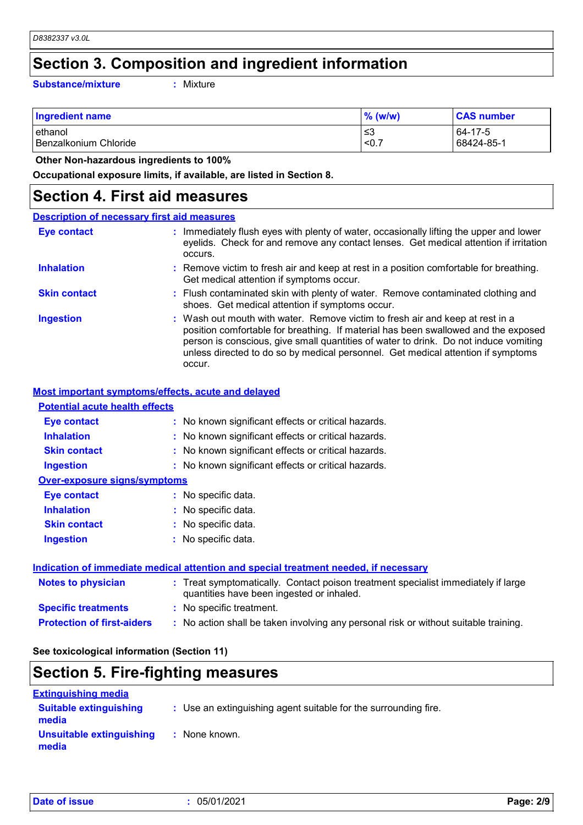### **Section 3. Composition and ingredient information**

**Substance/mixture :**

: Mixture

| <b>Ingredient name</b> | $\%$ (w/w) | <b>CAS number</b> |
|------------------------|------------|-------------------|
| lethanol               | ≤3         | 64-17-5           |
| Benzalkonium Chloride  | < 0.7      | 68424-85-1        |

 **Other Non-hazardous ingredients to 100%**

**Occupational exposure limits, if available, are listed in Section 8.**

### **Section 4. First aid measures**

| <b>Description of necessary first aid measures</b> |                                                                                                                                                                                                                                                                                                                                                           |
|----------------------------------------------------|-----------------------------------------------------------------------------------------------------------------------------------------------------------------------------------------------------------------------------------------------------------------------------------------------------------------------------------------------------------|
| Eye contact                                        | : Immediately flush eyes with plenty of water, occasionally lifting the upper and lower<br>eyelids. Check for and remove any contact lenses. Get medical attention if irritation<br>occurs.                                                                                                                                                               |
| <b>Inhalation</b>                                  | : Remove victim to fresh air and keep at rest in a position comfortable for breathing.<br>Get medical attention if symptoms occur.                                                                                                                                                                                                                        |
| <b>Skin contact</b>                                | : Flush contaminated skin with plenty of water. Remove contaminated clothing and<br>shoes. Get medical attention if symptoms occur.                                                                                                                                                                                                                       |
| <b>Ingestion</b>                                   | : Wash out mouth with water. Remove victim to fresh air and keep at rest in a<br>position comfortable for breathing. If material has been swallowed and the exposed<br>person is conscious, give small quantities of water to drink. Do not induce vomiting<br>unless directed to do so by medical personnel. Get medical attention if symptoms<br>occur. |

#### **Most important symptoms/effects, acute and delayed**

| <b>Potential acute health effects</b> |                                                     |
|---------------------------------------|-----------------------------------------------------|
| Eye contact                           | : No known significant effects or critical hazards. |
| <b>Inhalation</b>                     | : No known significant effects or critical hazards. |
| <b>Skin contact</b>                   | : No known significant effects or critical hazards. |
| <b>Ingestion</b>                      | : No known significant effects or critical hazards. |
| <b>Over-exposure signs/symptoms</b>   |                                                     |
| <b>Eve contact</b>                    | : No specific data.                                 |
| <b>Inhalation</b>                     | : No specific data.                                 |
| <b>Skin contact</b>                   | : No specific data.                                 |
| <b>Ingestion</b>                      | : No specific data.                                 |

| Indication of immediate medical attention and special treatment needed, if necessary |                                                                                                                                |  |
|--------------------------------------------------------------------------------------|--------------------------------------------------------------------------------------------------------------------------------|--|
| Notes to physician                                                                   | : Treat symptomatically. Contact poison treatment specialist immediately if large<br>quantities have been ingested or inhaled. |  |
| <b>Specific treatments</b>                                                           | : No specific treatment.                                                                                                       |  |
| <b>Protection of first-aiders</b>                                                    | : No action shall be taken involving any personal risk or without suitable training.                                           |  |

**See toxicological information (Section 11)**

### **Section 5. Fire-fighting measures**

| <b>Extinguishing media</b>             |                                                                 |  |
|----------------------------------------|-----------------------------------------------------------------|--|
| <b>Suitable extinguishing</b><br>media | : Use an extinguishing agent suitable for the surrounding fire. |  |
| Unsuitable extinguishing<br>media      | : None known.                                                   |  |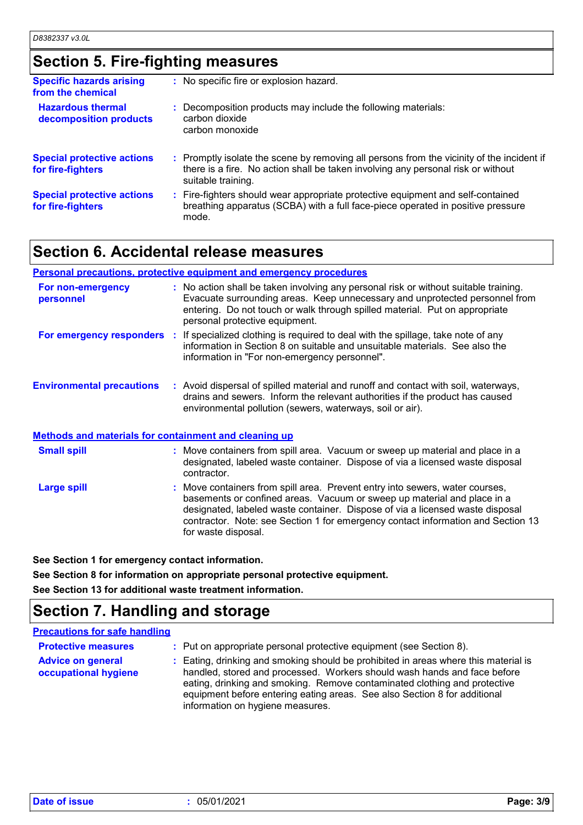### **Section 5. Fire-fighting measures**

| <b>Specific hazards arising</b><br>from the chemical   | : No specific fire or explosion hazard.                                                                                                                                                             |
|--------------------------------------------------------|-----------------------------------------------------------------------------------------------------------------------------------------------------------------------------------------------------|
| <b>Hazardous thermal</b><br>decomposition products     | : Decomposition products may include the following materials:<br>carbon dioxide<br>carbon monoxide                                                                                                  |
| <b>Special protective actions</b><br>for fire-fighters | : Promptly isolate the scene by removing all persons from the vicinity of the incident if<br>there is a fire. No action shall be taken involving any personal risk or without<br>suitable training. |
| <b>Special protective actions</b><br>for fire-fighters | : Fire-fighters should wear appropriate protective equipment and self-contained<br>breathing apparatus (SCBA) with a full face-piece operated in positive pressure<br>mode.                         |

### **Section 6. Accidental release measures**

#### **Personal precautions, protective equipment and emergency procedures**

| For non-emergency<br>personnel                        | : No action shall be taken involving any personal risk or without suitable training.<br>Evacuate surrounding areas. Keep unnecessary and unprotected personnel from<br>entering. Do not touch or walk through spilled material. Put on appropriate<br>personal protective equipment. |
|-------------------------------------------------------|--------------------------------------------------------------------------------------------------------------------------------------------------------------------------------------------------------------------------------------------------------------------------------------|
| For emergency responders                              | If specialized clothing is required to deal with the spillage, take note of any<br>-11<br>information in Section 8 on suitable and unsuitable materials. See also the<br>information in "For non-emergency personnel".                                                               |
| <b>Environmental precautions</b>                      | : Avoid dispersal of spilled material and runoff and contact with soil, waterways,<br>drains and sewers. Inform the relevant authorities if the product has caused<br>environmental pollution (sewers, waterways, soil or air).                                                      |
| Methods and materials for containment and cleaning up |                                                                                                                                                                                                                                                                                      |
| <b>Small spill</b>                                    | : Move containers from spill area. Vacuum or sweep up material and place in a<br>designated, labeled waste container. Dispose of via a licensed waste disposal                                                                                                                       |

#### Move containers from spill area. Prevent entry into sewers, water courses, basements or confined areas. Vacuum or sweep up material and place in a designated, labeled waste container. Dispose of via a licensed waste disposal contractor. Note: see Section 1 for emergency contact information and Section 13 for waste disposal. **Large spill :** contractor.

**See Section 1 for emergency contact information.**

**See Section 8 for information on appropriate personal protective equipment. See Section 13 for additional waste treatment information.**

# **Section 7. Handling and storage**

#### **Precautions for safe handling**

| <b>Protective measures</b>                       | : Put on appropriate personal protective equipment (see Section 8).                                                                                                                                                                                                                                                                                           |
|--------------------------------------------------|---------------------------------------------------------------------------------------------------------------------------------------------------------------------------------------------------------------------------------------------------------------------------------------------------------------------------------------------------------------|
| <b>Advice on general</b><br>occupational hygiene | : Eating, drinking and smoking should be prohibited in areas where this material is<br>handled, stored and processed. Workers should wash hands and face before<br>eating, drinking and smoking. Remove contaminated clothing and protective<br>equipment before entering eating areas. See also Section 8 for additional<br>information on hygiene measures. |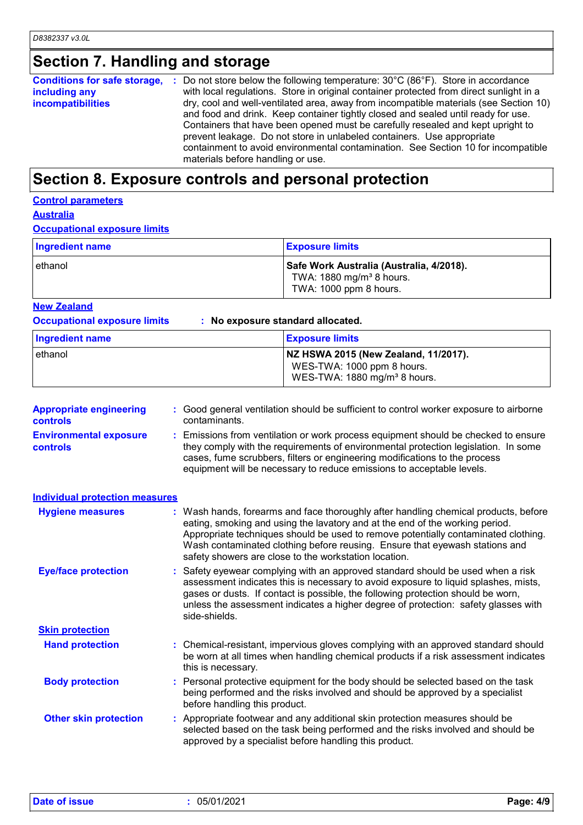# **Section 7. Handling and storage**

| Conditions for safe storage, : | Do not store below the following temperature: $30^{\circ}$ C (86 $^{\circ}$ F). Store in accordance |
|--------------------------------|-----------------------------------------------------------------------------------------------------|
| including any                  | with local regulations. Store in original container protected from direct sunlight in a             |
| incompatibilities              | dry, cool and well-ventilated area, away from incompatible materials (see Section 10)               |
|                                | and food and drink. Keep container tightly closed and sealed until ready for use.                   |
|                                | Containers that have been opened must be carefully resealed and kept upright to                     |
|                                | prevent leakage. Do not store in unlabeled containers. Use appropriate                              |
|                                | containment to avoid environmental contamination. See Section 10 for incompatible                   |
|                                | materials before handling or use.                                                                   |

### **Section 8. Exposure controls and personal protection**

### **Control parameters**

**Australia**

#### **Occupational exposure limits**

| Ingredient name | <b>Exposure limits</b>                                                                                     |
|-----------------|------------------------------------------------------------------------------------------------------------|
| ethanol         | Safe Work Australia (Australia, 4/2018).<br>TWA: 1880 mg/m <sup>3</sup> 8 hours.<br>TWA: 1000 ppm 8 hours. |

#### **New Zealand**

**Occupational exposure limits : No exposure standard allocated.**

| Ingredient name | <b>Exposure limits</b>                                                                                         |
|-----------------|----------------------------------------------------------------------------------------------------------------|
| lethanol        | NZ HSWA 2015 (New Zealand, 11/2017).<br>WES-TWA: 1000 ppm 8 hours.<br>WES-TWA: 1880 mg/m <sup>3</sup> 8 hours. |

| <b>Appropriate engineering</b><br>controls       | : Good general ventilation should be sufficient to control worker exposure to airborne<br>contaminants.                                                                                                                                                                                                                                                                                           |  |  |
|--------------------------------------------------|---------------------------------------------------------------------------------------------------------------------------------------------------------------------------------------------------------------------------------------------------------------------------------------------------------------------------------------------------------------------------------------------------|--|--|
| <b>Environmental exposure</b><br><b>controls</b> | : Emissions from ventilation or work process equipment should be checked to ensure<br>they comply with the requirements of environmental protection legislation. In some<br>cases, fume scrubbers, filters or engineering modifications to the process<br>equipment will be necessary to reduce emissions to acceptable levels.                                                                   |  |  |
| <b>Individual protection measures</b>            |                                                                                                                                                                                                                                                                                                                                                                                                   |  |  |
| <b>Hygiene measures</b>                          | : Wash hands, forearms and face thoroughly after handling chemical products, before<br>eating, smoking and using the lavatory and at the end of the working period.<br>Appropriate techniques should be used to remove potentially contaminated clothing.<br>Wash contaminated clothing before reusing. Ensure that eyewash stations and<br>safety showers are close to the workstation location. |  |  |
| <b>Eye/face protection</b>                       | : Safety eyewear complying with an approved standard should be used when a risk<br>assessment indicates this is necessary to avoid exposure to liquid splashes, mists,<br>gases or dusts. If contact is possible, the following protection should be worn,<br>unless the assessment indicates a higher degree of protection: safety glasses with<br>side-shields.                                 |  |  |
| <b>Skin protection</b>                           |                                                                                                                                                                                                                                                                                                                                                                                                   |  |  |
| <b>Hand protection</b>                           | : Chemical-resistant, impervious gloves complying with an approved standard should<br>be worn at all times when handling chemical products if a risk assessment indicates<br>this is necessary.                                                                                                                                                                                                   |  |  |
| <b>Body protection</b>                           | : Personal protective equipment for the body should be selected based on the task<br>being performed and the risks involved and should be approved by a specialist<br>before handling this product.                                                                                                                                                                                               |  |  |
| <b>Other skin protection</b>                     | : Appropriate footwear and any additional skin protection measures should be<br>selected based on the task being performed and the risks involved and should be<br>approved by a specialist before handling this product.                                                                                                                                                                         |  |  |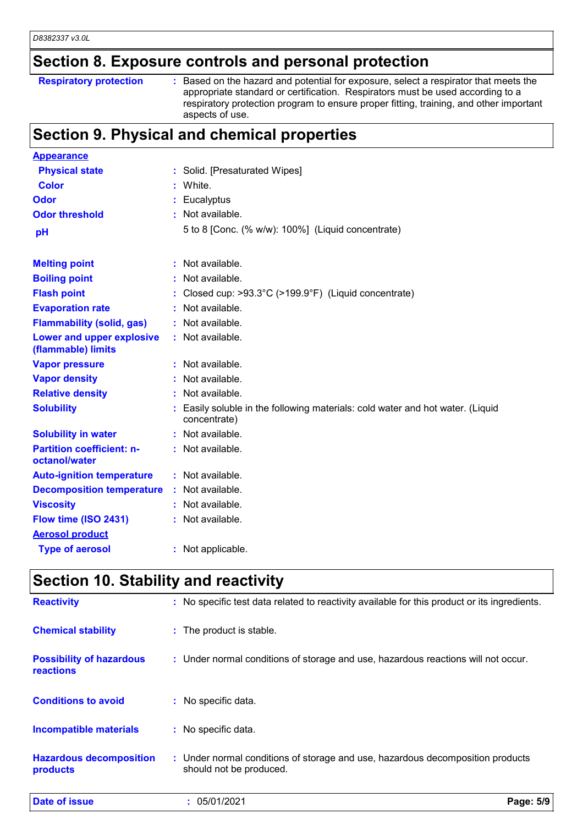# **Section 8. Exposure controls and personal protection**

**Respiratory protection** : Based on the hazard and potential for exposure, select a respirator that meets the appropriate standard or certification. Respirators must be used according to a respiratory protection program to ensure proper fitting, training, and other important aspects of use.

### **Section 9. Physical and chemical properties**

| <b>Appearance</b>                                      |                                                                                                |
|--------------------------------------------------------|------------------------------------------------------------------------------------------------|
| <b>Physical state</b>                                  | : Solid. [Presaturated Wipes]                                                                  |
| <b>Color</b>                                           | White.                                                                                         |
| Odor                                                   | : Eucalyptus                                                                                   |
| <b>Odor threshold</b>                                  | : Not available.                                                                               |
| pH                                                     | 5 to 8 [Conc. (% w/w): 100%] (Liquid concentrate)                                              |
| <b>Melting point</b>                                   | : Not available.                                                                               |
| <b>Boiling point</b>                                   | : Not available.                                                                               |
| <b>Flash point</b>                                     | : Closed cup: >93.3°C (>199.9°F) (Liquid concentrate)                                          |
| <b>Evaporation rate</b>                                | : Not available.                                                                               |
| <b>Flammability (solid, gas)</b>                       | : Not available.                                                                               |
| <b>Lower and upper explosive</b><br>(flammable) limits | : Not available.                                                                               |
| <b>Vapor pressure</b>                                  | : Not available.                                                                               |
| <b>Vapor density</b>                                   | $:$ Not available.                                                                             |
| <b>Relative density</b>                                | : Not available.                                                                               |
| <b>Solubility</b>                                      | : Easily soluble in the following materials: cold water and hot water. (Liquid<br>concentrate) |
| <b>Solubility in water</b>                             | : Not available.                                                                               |
| <b>Partition coefficient: n-</b><br>octanol/water      | : Not available.                                                                               |
| <b>Auto-ignition temperature</b>                       | : Not available.                                                                               |
| <b>Decomposition temperature</b>                       | : Not available.                                                                               |
| <b>Viscosity</b>                                       | : Not available.                                                                               |
| Flow time (ISO 2431)                                   | : Not available.                                                                               |
| <b>Aerosol product</b>                                 |                                                                                                |
| <b>Type of aerosol</b>                                 | : Not applicable.                                                                              |

## **Section 10. Stability and reactivity**

| <b>Date of issue</b>                                | 05/01/2021                                                                                                | Page: 5/9 |
|-----------------------------------------------------|-----------------------------------------------------------------------------------------------------------|-----------|
| <b>Hazardous decomposition</b><br>products          | : Under normal conditions of storage and use, hazardous decomposition products<br>should not be produced. |           |
| <b>Incompatible materials</b>                       | : No specific data.                                                                                       |           |
| <b>Conditions to avoid</b>                          | : No specific data.                                                                                       |           |
| <b>Possibility of hazardous</b><br><b>reactions</b> | : Under normal conditions of storage and use, hazardous reactions will not occur.                         |           |
| <b>Chemical stability</b>                           | : The product is stable.                                                                                  |           |
| <b>Reactivity</b>                                   | : No specific test data related to reactivity available for this product or its ingredients.              |           |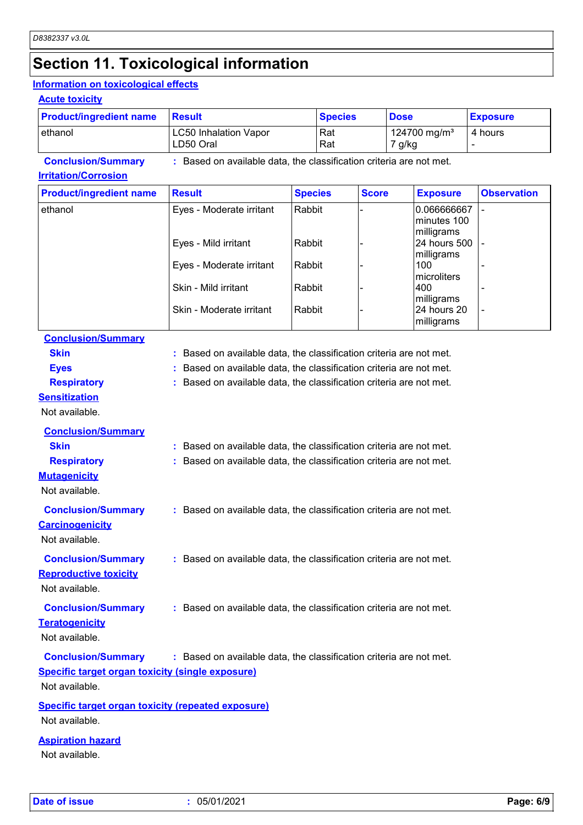# **Section 11. Toxicological information**

#### **Information on toxicological effects**

#### **Acute toxicity**

| <b>Product/ingredient name</b> | <b>Result</b>                                                     | <b>Species</b> | <b>Dose</b>                        | <b>Exposure</b> |  |
|--------------------------------|-------------------------------------------------------------------|----------------|------------------------------------|-----------------|--|
| lethanol                       | <b>LC50 Inhalation Vapor</b><br>LD50 Oral                         | l Rat<br>  Rat | 124700 mg/m <sup>3</sup><br>7 g/kg | 4 hours         |  |
| <b>Conclusion/Summary</b>      | Based on available data, the classification criteria are not met. |                |                                    |                 |  |

#### **Irritation/Corrosion**

| <b>Product/ingredient name</b> | <b>Result</b>            | <b>Species</b> | <b>Score</b> | <b>Exposure</b>                          | <b>Observation</b> |
|--------------------------------|--------------------------|----------------|--------------|------------------------------------------|--------------------|
| ethanol                        | Eyes - Moderate irritant | Rabbit         |              | 0.066666667<br>minutes 100<br>milligrams |                    |
|                                | Eyes - Mild irritant     | Rabbit         |              | 24 hours 500<br>milligrams               |                    |
|                                | Eyes - Moderate irritant | Rabbit         |              | 100<br>microliters                       |                    |
|                                | Skin - Mild irritant     | Rabbit         |              | 400<br>milligrams                        |                    |
|                                | Skin - Moderate irritant | Rabbit         |              | 24 hours 20<br>milligrams                |                    |

### **Conclusion/Summary**

| <b>Skin</b>                                               | Based on available data, the classification criteria are not met.   |
|-----------------------------------------------------------|---------------------------------------------------------------------|
| <b>Eyes</b>                                               | Based on available data, the classification criteria are not met.   |
| <b>Respiratory</b>                                        | Based on available data, the classification criteria are not met.   |
| <b>Sensitization</b>                                      |                                                                     |
| Not available.                                            |                                                                     |
| <b>Conclusion/Summary</b>                                 |                                                                     |
| <b>Skin</b>                                               | : Based on available data, the classification criteria are not met. |
| <b>Respiratory</b>                                        | Based on available data, the classification criteria are not met.   |
| <b>Mutagenicity</b>                                       |                                                                     |
| Not available.                                            |                                                                     |
| <b>Conclusion/Summary</b>                                 | : Based on available data, the classification criteria are not met. |
| <b>Carcinogenicity</b>                                    |                                                                     |
| Not available.                                            |                                                                     |
| <b>Conclusion/Summary</b>                                 | : Based on available data, the classification criteria are not met. |
| <b>Reproductive toxicity</b>                              |                                                                     |
| Not available.                                            |                                                                     |
| <b>Conclusion/Summary</b>                                 | : Based on available data, the classification criteria are not met. |
| <b>Teratogenicity</b>                                     |                                                                     |
| Not available.                                            |                                                                     |
| <b>Conclusion/Summary</b>                                 | : Based on available data, the classification criteria are not met. |
| <b>Specific target organ toxicity (single exposure)</b>   |                                                                     |
| Not available.                                            |                                                                     |
|                                                           |                                                                     |
| <b>Specific target organ toxicity (repeated exposure)</b> |                                                                     |
| Not available.                                            |                                                                     |

#### **Aspiration hazard**

Not available.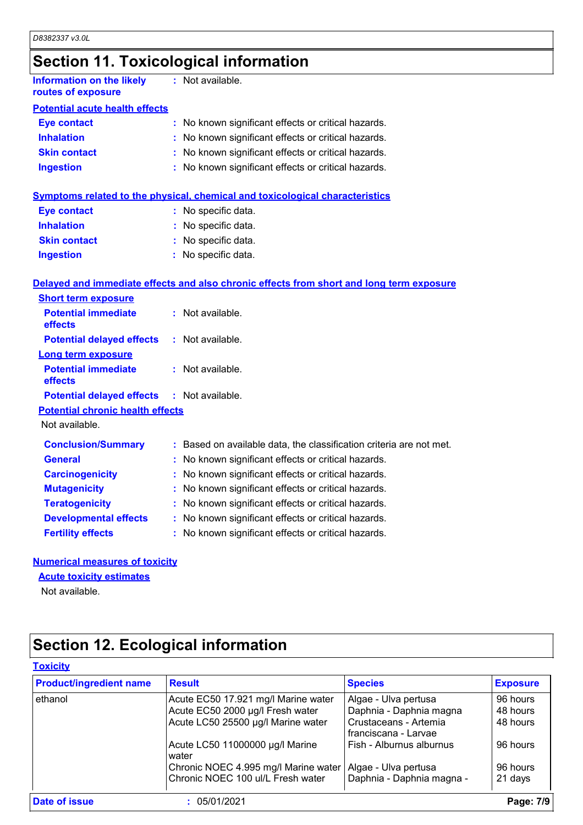# **Section 11. Toxicological information**

| Information on the likely<br>routes of exposure | : Not available.                                    |
|-------------------------------------------------|-----------------------------------------------------|
| <b>Potential acute health effects</b>           |                                                     |
| <b>Eye contact</b>                              | : No known significant effects or critical hazards. |
| <b>Inhalation</b>                               | : No known significant effects or critical hazards. |
| <b>Skin contact</b>                             | : No known significant effects or critical hazards. |
| <b>Ingestion</b>                                | : No known significant effects or critical hazards. |
|                                                 |                                                     |

|  | Symptoms related to the physical, chemical and toxicological characteristics |
|--|------------------------------------------------------------------------------|
|  |                                                                              |

| <b>Eye contact</b>  | : No specific data. |
|---------------------|---------------------|
| <b>Inhalation</b>   | : No specific data. |
| <b>Skin contact</b> | : No specific data. |
| <b>Ingestion</b>    | : No specific data. |

#### **Delayed and immediate effects and also chronic effects from short and long term exposure**

| <b>Short term exposure</b>                        |                                                                     |
|---------------------------------------------------|---------------------------------------------------------------------|
| <b>Potential immediate</b><br>effects             | $:$ Not available.                                                  |
| <b>Potential delayed effects</b>                  | $:$ Not available.                                                  |
| <b>Long term exposure</b>                         |                                                                     |
| <b>Potential immediate</b><br><b>effects</b>      | $:$ Not available.                                                  |
| <b>Potential delayed effects : Not available.</b> |                                                                     |
| <b>Potential chronic health effects</b>           |                                                                     |
| Not available.                                    |                                                                     |
| <b>Conclusion/Summary</b>                         | : Based on available data, the classification criteria are not met. |
| <b>General</b>                                    | : No known significant effects or critical hazards.                 |
| <b>Carcinogenicity</b>                            | : No known significant effects or critical hazards.                 |
| <b>Mutagenicity</b>                               | : No known significant effects or critical hazards.                 |
| <b>Teratogenicity</b>                             | : No known significant effects or critical hazards.                 |
| <b>Developmental effects</b>                      | : No known significant effects or critical hazards.                 |
| <b>Fertility effects</b>                          | : No known significant effects or critical hazards.                 |

#### **Numerical measures of toxicity**

#### **Acute toxicity estimates**

Not available.

# **Section 12. Ecological information**

| <b>Product/ingredient name</b> | <b>Result</b>                            | <b>Species</b>                                | <b>Exposure</b> |
|--------------------------------|------------------------------------------|-----------------------------------------------|-----------------|
| ethanol                        | Acute EC50 17.921 mg/l Marine water      | Algae - Ulva pertusa                          | 96 hours        |
|                                | Acute EC50 2000 µg/l Fresh water         | Daphnia - Daphnia magna                       | 48 hours        |
|                                | Acute LC50 25500 µg/l Marine water       | Crustaceans - Artemia<br>franciscana - Larvae | 48 hours        |
|                                | Acute LC50 11000000 µg/l Marine<br>water | Fish - Alburnus alburnus                      | 96 hours        |
|                                | Chronic NOEC 4.995 mg/l Marine water     | Algae - Ulva pertusa                          | 96 hours        |
|                                | Chronic NOEC 100 ul/L Fresh water        | Daphnia - Daphnia magna -                     | 21 days         |
| Date of issue                  | 05/01/2021                               |                                               | Page: 7/9       |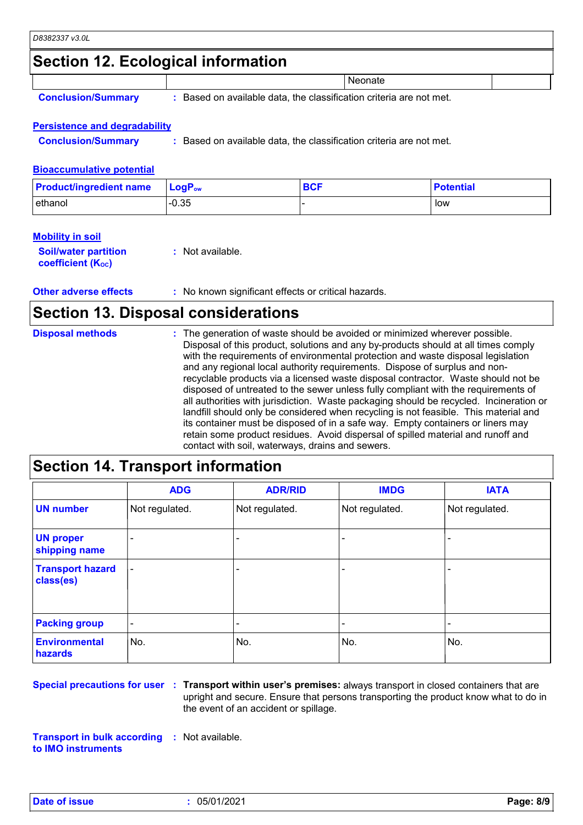### **Section 12. Ecological information**

|  | <b>Conclusion/Summary</b> |  |
|--|---------------------------|--|
|  |                           |  |

**:** Based on available data, the classification criteria are not met.

**Neonate** 

#### **Persistence and degradability**

**Conclusion/Summary :** Based on available data, the classification criteria are not met.

#### **Bioaccumulative potential**

| <b>Product/ingredient name</b> | $\mathsf{LogP}_\mathsf{ow}$ | <b>BCF</b> | <b>Potential</b> |
|--------------------------------|-----------------------------|------------|------------------|
| lethanol                       | $-0.35$                     |            | low              |

#### **Mobility in soil**

| <b>Soil/water partition</b> | : Not available. |
|-----------------------------|------------------|
| <b>coefficient (Koc)</b>    |                  |

**Other adverse effects** : No known significant effects or critical hazards.

### **Section 13. Disposal considerations**

| <b>Disposal methods</b> | : The generation of waste should be avoided or minimized wherever possible.<br>Disposal of this product, solutions and any by-products should at all times comply<br>with the requirements of environmental protection and waste disposal legislation<br>and any regional local authority requirements. Dispose of surplus and non-<br>recyclable products via a licensed waste disposal contractor. Waste should not be<br>disposed of untreated to the sewer unless fully compliant with the requirements of<br>all authorities with jurisdiction. Waste packaging should be recycled. Incineration or<br>landfill should only be considered when recycling is not feasible. This material and<br>its container must be disposed of in a safe way. Empty containers or liners may<br>retain some product residues. Avoid dispersal of spilled material and runoff and |
|-------------------------|-------------------------------------------------------------------------------------------------------------------------------------------------------------------------------------------------------------------------------------------------------------------------------------------------------------------------------------------------------------------------------------------------------------------------------------------------------------------------------------------------------------------------------------------------------------------------------------------------------------------------------------------------------------------------------------------------------------------------------------------------------------------------------------------------------------------------------------------------------------------------|
|                         | contact with soil, waterways, drains and sewers.                                                                                                                                                                                                                                                                                                                                                                                                                                                                                                                                                                                                                                                                                                                                                                                                                        |

### **Section 14. Transport information**

|                                      | <b>ADG</b>               | <b>ADR/RID</b> | <b>IMDG</b>              | <b>IATA</b>    |
|--------------------------------------|--------------------------|----------------|--------------------------|----------------|
| <b>UN number</b>                     | Not regulated.           | Not regulated. | Not regulated.           | Not regulated. |
| <b>UN proper</b><br>shipping name    | $\overline{\phantom{0}}$ |                |                          |                |
| <b>Transport hazard</b><br>class(es) |                          |                | $\overline{\phantom{0}}$ |                |
| <b>Packing group</b>                 | $\overline{\phantom{a}}$ |                | $\blacksquare$           |                |
| <b>Environmental</b><br>hazards      | No.                      | No.            | No.                      | No.            |

**Special precautions for user Transport within user's premises:** always transport in closed containers that are **:** upright and secure. Ensure that persons transporting the product know what to do in the event of an accident or spillage.

**Transport in bulk according :** Not available. **to IMO instruments**